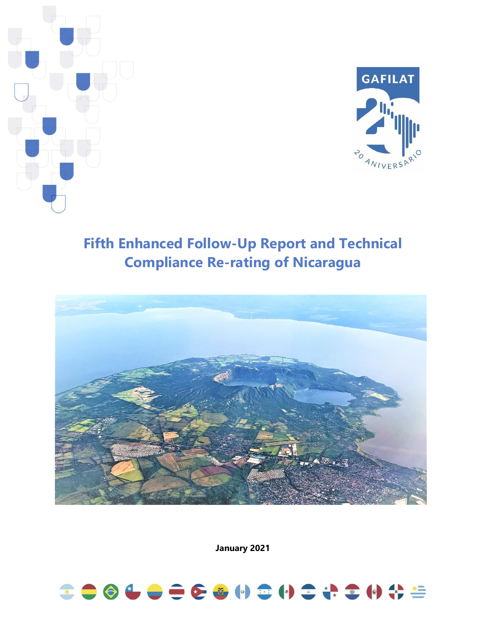



# **Fifth Enhanced Follow-Up Report and Technical Compliance Re-rating of Nicaragua**



**January 2021**

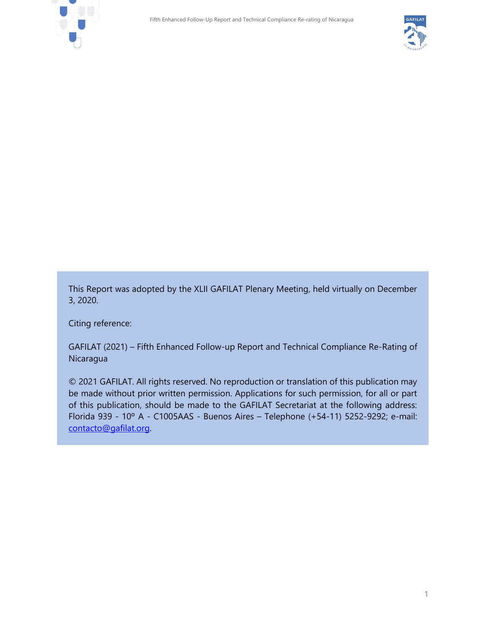



This Report was adopted by the XLII GAFILAT Plenary Meeting, held virtually on December 3, 2020.

Citing reference:

GAFILAT (2021) – Fifth Enhanced Follow-up Report and Technical Compliance Re-Rating of **Nicaragua** 

© 2021 GAFILAT. All rights reserved. No reproduction or translation of this publication may be made without prior written permission. Applications for such permission, for all or part of this publication, should be made to the GAFILAT Secretariat at the following address: Florida 939 - 10º A - C1005AAS - Buenos Aires – Telephone (+54-11) 5252-9292; e-mail: [contacto@gafilat.org.](mailto:contacto@gafilat.org)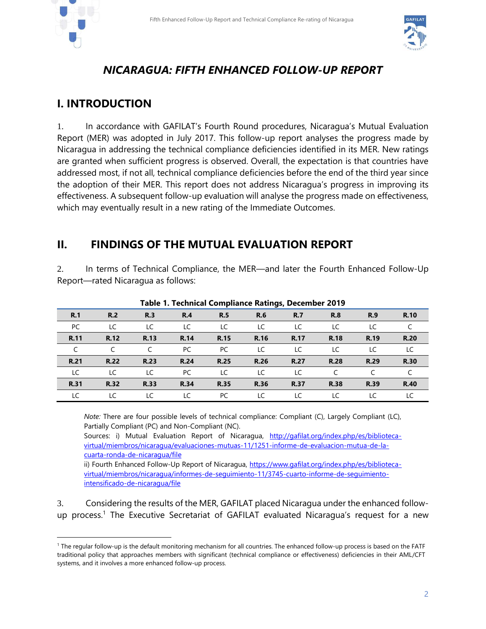



### *NICARAGUA: FIFTH ENHANCED FOLLOW-UP REPORT*

### **I. INTRODUCTION**

1. In accordance with GAFILAT's Fourth Round procedures, Nicaragua's Mutual Evaluation Report (MER) was adopted in July 2017. This follow-up report analyses the progress made by Nicaragua in addressing the technical compliance deficiencies identified in its MER. New ratings are granted when sufficient progress is observed. Overall, the expectation is that countries have addressed most, if not all, technical compliance deficiencies before the end of the third year since the adoption of their MER. This report does not address Nicaragua's progress in improving its effectiveness. A subsequent follow-up evaluation will analyse the progress made on effectiveness, which may eventually result in a new rating of the Immediate Outcomes.

### **II. FINDINGS OF THE MUTUAL EVALUATION REPORT**

2. In terms of Technical Compliance, the MER—and later the Fourth Enhanced Follow-Up Report—rated Nicaragua as follows:

| Table 1. Technical Comphance Kathlys, December 2015 |             |             |             |             |             |             |             |             |             |  |  |
|-----------------------------------------------------|-------------|-------------|-------------|-------------|-------------|-------------|-------------|-------------|-------------|--|--|
| R.1                                                 | R.2         | R.3         | R.4         | <b>R.5</b>  | <b>R.6</b>  | <b>R.7</b>  | <b>R.8</b>  | <b>R.9</b>  | <b>R.10</b> |  |  |
| PC                                                  | LC          | LC          | LC          | LC          | LC          | LC          | LC          | LC          |             |  |  |
| R.11                                                | R.12        | R.13        | R.14        | <b>R.15</b> | R.16        | R.17        | <b>R.18</b> | R.19        | <b>R.20</b> |  |  |
|                                                     |             |             | PC.         | PC          | LC          | LC          | LC          | LC          | LC          |  |  |
| <b>R.21</b>                                         | <b>R.22</b> | <b>R.23</b> | <b>R.24</b> | <b>R.25</b> | <b>R.26</b> | <b>R.27</b> | <b>R.28</b> | <b>R.29</b> | <b>R.30</b> |  |  |
| LC                                                  | LC          | LC          | PC.         | LC          | LC          | LC          |             |             |             |  |  |
| <b>R.31</b>                                         | <b>R.32</b> | <b>R.33</b> | R.34        | <b>R.35</b> | R.36        | <b>R.37</b> | <b>R.38</b> | <b>R.39</b> | <b>R.40</b> |  |  |
| LC                                                  | LC          | LC.         | LC          | PC          | LC          | LC          | LC          | LC          | LC          |  |  |

#### **Table 1. Technical Compliance Ratings, December 2019**

*Note:* There are four possible levels of technical compliance: Compliant (C), Largely Compliant (LC), Partially Compliant (PC) and Non-Compliant (NC).

Sources: i) Mutual Evaluation Report of Nicaragua, [http://gafilat.org/index.php/es/biblioteca](http://gafilat.org/index.php/es/biblioteca-virtual/miembros/nicaragua/evaluaciones-mutuas-11/1251-informe-de-evaluacion-mutua-de-la-cuarta-ronda-de-nicaragua/file)[virtual/miembros/nicaragua/evaluaciones-mutuas-11/1251-informe-de-evaluacion-mutua-de-la](http://gafilat.org/index.php/es/biblioteca-virtual/miembros/nicaragua/evaluaciones-mutuas-11/1251-informe-de-evaluacion-mutua-de-la-cuarta-ronda-de-nicaragua/file)[cuarta-ronda-de-nicaragua/file](http://gafilat.org/index.php/es/biblioteca-virtual/miembros/nicaragua/evaluaciones-mutuas-11/1251-informe-de-evaluacion-mutua-de-la-cuarta-ronda-de-nicaragua/file)

ii) Fourth Enhanced Follow-Up Report of Nicaragua, [https://www.gafilat.org/index.php/es/biblioteca](https://www.gafilat.org/index.php/es/biblioteca-virtual/miembros/nicaragua/informes-de-seguimiento-11/3745-cuarto-informe-de-seguimiento-intensificado-de-nicaragua/file)[virtual/miembros/nicaragua/informes-de-seguimiento-11/3745-cuarto-informe-de-seguimiento](https://www.gafilat.org/index.php/es/biblioteca-virtual/miembros/nicaragua/informes-de-seguimiento-11/3745-cuarto-informe-de-seguimiento-intensificado-de-nicaragua/file)[intensificado-de-nicaragua/file](https://www.gafilat.org/index.php/es/biblioteca-virtual/miembros/nicaragua/informes-de-seguimiento-11/3745-cuarto-informe-de-seguimiento-intensificado-de-nicaragua/file)

3. Considering the results of the MER, GAFILAT placed Nicaragua under the enhanced followup process.<sup>1</sup> The Executive Secretariat of GAFILAT evaluated Nicaragua's request for a new

<sup>1</sup> The regular follow-up is the default monitoring mechanism for all countries. The enhanced follow-up process is based on the FATF traditional policy that approaches members with significant (technical compliance or effectiveness) deficiencies in their AML/CFT systems, and it involves a more enhanced follow-up process.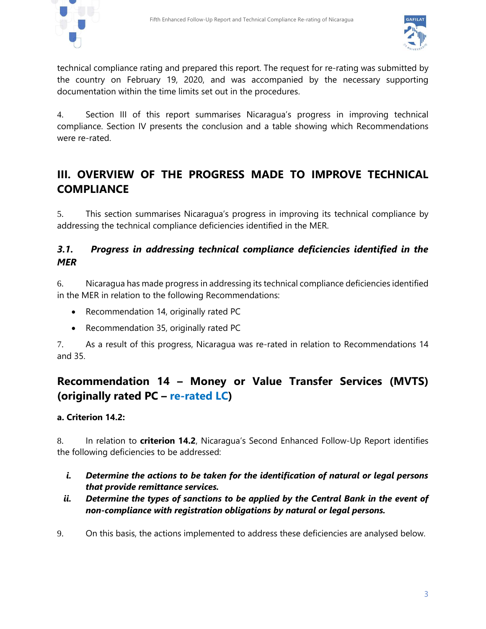



technical compliance rating and prepared this report. The request for re-rating was submitted by the country on February 19, 2020, and was accompanied by the necessary supporting documentation within the time limits set out in the procedures.

4. Section III of this report summarises Nicaragua's progress in improving technical compliance. Section IV presents the conclusion and a table showing which Recommendations were re-rated.

# **III. OVERVIEW OF THE PROGRESS MADE TO IMPROVE TECHNICAL COMPLIANCE**

5. This section summarises Nicaragua's progress in improving its technical compliance by addressing the technical compliance deficiencies identified in the MER.

### *3.1. Progress in addressing technical compliance deficiencies identified in the MER*

6. Nicaragua has made progress in addressing its technical compliance deficiencies identified in the MER in relation to the following Recommendations:

- Recommendation 14, originally rated PC
- Recommendation 35, originally rated PC

7. As a result of this progress, Nicaragua was re-rated in relation to Recommendations 14 and 35.

# **Recommendation 14 – Money or Value Transfer Services (MVTS) (originally rated PC – re-rated LC)**

#### **a. Criterion 14.2:**

8. In relation to **criterion 14.2**, Nicaragua's Second Enhanced Follow-Up Report identifies the following deficiencies to be addressed:

- *i. Determine the actions to be taken for the identification of natural or legal persons that provide remittance services.*
- *ii. Determine the types of sanctions to be applied by the Central Bank in the event of non-compliance with registration obligations by natural or legal persons.*
- 9. On this basis, the actions implemented to address these deficiencies are analysed below.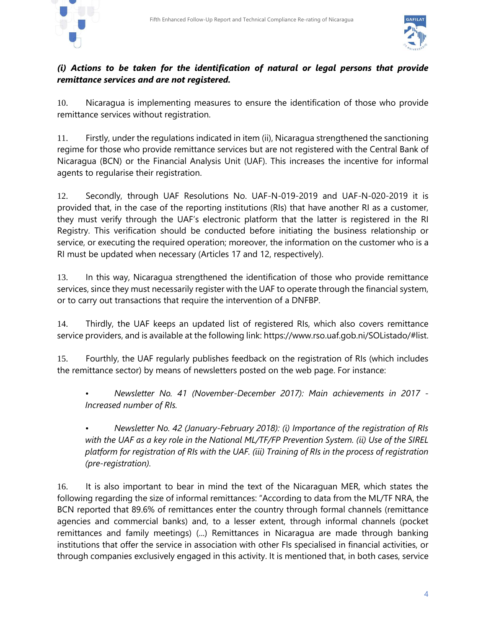



#### *(i) Actions to be taken for the identification of natural or legal persons that provide remittance services and are not registered.*

10. Nicaragua is implementing measures to ensure the identification of those who provide remittance services without registration.

11. Firstly, under the regulations indicated in item (ii), Nicaragua strengthened the sanctioning regime for those who provide remittance services but are not registered with the Central Bank of Nicaragua (BCN) or the Financial Analysis Unit (UAF). This increases the incentive for informal agents to regularise their registration.

12. Secondly, through UAF Resolutions No. UAF-N-019-2019 and UAF-N-020-2019 it is provided that, in the case of the reporting institutions (RIs) that have another RI as a customer, they must verify through the UAF's electronic platform that the latter is registered in the RI Registry. This verification should be conducted before initiating the business relationship or service, or executing the required operation; moreover, the information on the customer who is a RI must be updated when necessary (Articles 17 and 12, respectively).

13. In this way, Nicaragua strengthened the identification of those who provide remittance services, since they must necessarily register with the UAF to operate through the financial system, or to carry out transactions that require the intervention of a DNFBP.

14. Thirdly, the UAF keeps an updated list of registered RIs, which also covers remittance service providers, and is available at the following link: https://www.rso.uaf.gob.ni/SOListado/#list.

15. Fourthly, the UAF regularly publishes feedback on the registration of RIs (which includes the remittance sector) by means of newsletters posted on the web page. For instance:

*• Newsletter No. 41 (November-December 2017): Main achievements in 2017 - Increased number of RIs.*

*• Newsletter No. 42 (January-February 2018): (i) Importance of the registration of RIs with the UAF as a key role in the National ML/TF/FP Prevention System. (ii) Use of the SIREL platform for registration of RIs with the UAF. (iii) Training of RIs in the process of registration (pre-registration).*

16. It is also important to bear in mind the text of the Nicaraguan MER, which states the following regarding the size of informal remittances: "According to data from the ML/TF NRA, the BCN reported that 89.6% of remittances enter the country through formal channels (remittance agencies and commercial banks) and, to a lesser extent, through informal channels (pocket remittances and family meetings) (...) Remittances in Nicaragua are made through banking institutions that offer the service in association with other FIs specialised in financial activities, or through companies exclusively engaged in this activity. It is mentioned that, in both cases, service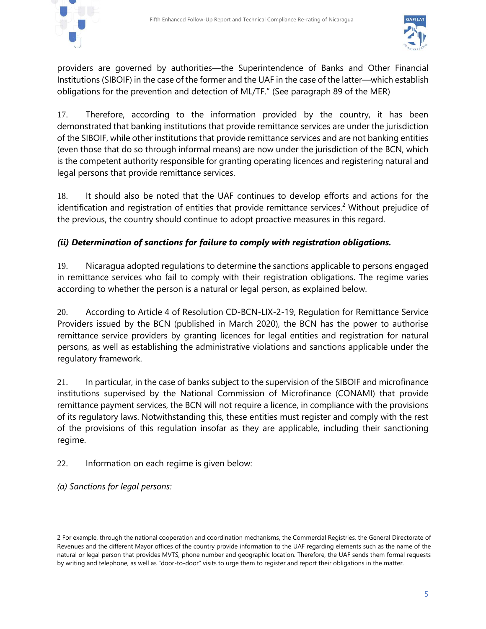



providers are governed by authorities—the Superintendence of Banks and Other Financial Institutions (SIBOIF) in the case of the former and the UAF in the case of the latter—which establish obligations for the prevention and detection of ML/TF." (See paragraph 89 of the MER)

17. Therefore, according to the information provided by the country, it has been demonstrated that banking institutions that provide remittance services are under the jurisdiction of the SIBOIF, while other institutions that provide remittance services and are not banking entities (even those that do so through informal means) are now under the jurisdiction of the BCN, which is the competent authority responsible for granting operating licences and registering natural and legal persons that provide remittance services.

18. It should also be noted that the UAF continues to develop efforts and actions for the identification and registration of entities that provide remittance services.<sup>2</sup> Without prejudice of the previous, the country should continue to adopt proactive measures in this regard.

#### *(ii) Determination of sanctions for failure to comply with registration obligations.*

19. Nicaragua adopted regulations to determine the sanctions applicable to persons engaged in remittance services who fail to comply with their registration obligations. The regime varies according to whether the person is a natural or legal person, as explained below.

20. According to Article 4 of Resolution CD-BCN-LIX-2-19, Regulation for Remittance Service Providers issued by the BCN (published in March 2020), the BCN has the power to authorise remittance service providers by granting licences for legal entities and registration for natural persons, as well as establishing the administrative violations and sanctions applicable under the regulatory framework.

21. In particular, in the case of banks subject to the supervision of the SIBOIF and microfinance institutions supervised by the National Commission of Microfinance (CONAMI) that provide remittance payment services, the BCN will not require a licence, in compliance with the provisions of its regulatory laws. Notwithstanding this, these entities must register and comply with the rest of the provisions of this regulation insofar as they are applicable, including their sanctioning regime.

22. Information on each regime is given below:

*(a) Sanctions for legal persons:*

<sup>2</sup> For example, through the national cooperation and coordination mechanisms, the Commercial Registries, the General Directorate of Revenues and the different Mayor offices of the country provide information to the UAF regarding elements such as the name of the natural or legal person that provides MVTS, phone number and geographic location. Therefore, the UAF sends them formal requests by writing and telephone, as well as "door-to-door" visits to urge them to register and report their obligations in the matter.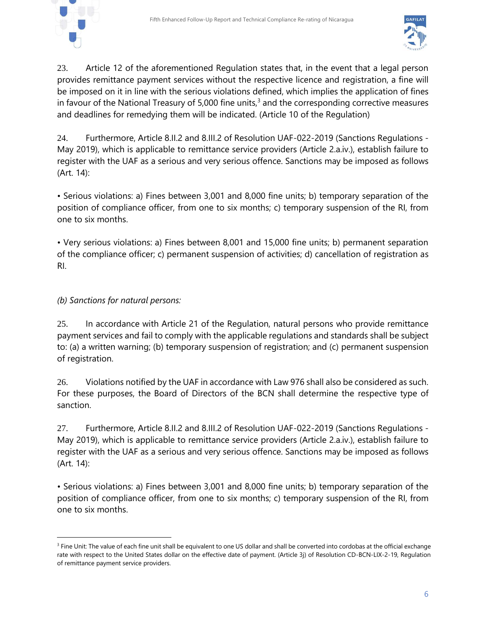



23. Article 12 of the aforementioned Regulation states that, in the event that a legal person provides remittance payment services without the respective licence and registration, a fine will be imposed on it in line with the serious violations defined, which implies the application of fines in favour of the National Treasury of 5,000 fine units, $3$  and the corresponding corrective measures and deadlines for remedying them will be indicated. (Article 10 of the Regulation)

24. Furthermore, Article 8.II.2 and 8.III.2 of Resolution UAF-022-2019 (Sanctions Regulations - May 2019), which is applicable to remittance service providers (Article 2.a.iv.), establish failure to register with the UAF as a serious and very serious offence. Sanctions may be imposed as follows (Art. 14):

• Serious violations: a) Fines between 3,001 and 8,000 fine units; b) temporary separation of the position of compliance officer, from one to six months; c) temporary suspension of the RI, from one to six months.

• Very serious violations: a) Fines between 8,001 and 15,000 fine units; b) permanent separation of the compliance officer; c) permanent suspension of activities; d) cancellation of registration as RI.

#### *(b) Sanctions for natural persons:*

25. In accordance with Article 21 of the Regulation, natural persons who provide remittance payment services and fail to comply with the applicable regulations and standards shall be subject to: (a) a written warning; (b) temporary suspension of registration; and (c) permanent suspension of registration.

26. Violations notified by the UAF in accordance with Law 976 shall also be considered as such. For these purposes, the Board of Directors of the BCN shall determine the respective type of sanction.

27. Furthermore, Article 8.II.2 and 8.III.2 of Resolution UAF-022-2019 (Sanctions Regulations - May 2019), which is applicable to remittance service providers (Article 2.a.iv.), establish failure to register with the UAF as a serious and very serious offence. Sanctions may be imposed as follows (Art. 14):

• Serious violations: a) Fines between 3,001 and 8,000 fine units; b) temporary separation of the position of compliance officer, from one to six months; c) temporary suspension of the RI, from one to six months.

<sup>&</sup>lt;sup>3</sup> Fine Unit: The value of each fine unit shall be equivalent to one US dollar and shall be converted into cordobas at the official exchange rate with respect to the United States dollar on the effective date of payment. (Article 3j) of Resolution CD-BCN-LIX-2-19, Regulation of remittance payment service providers.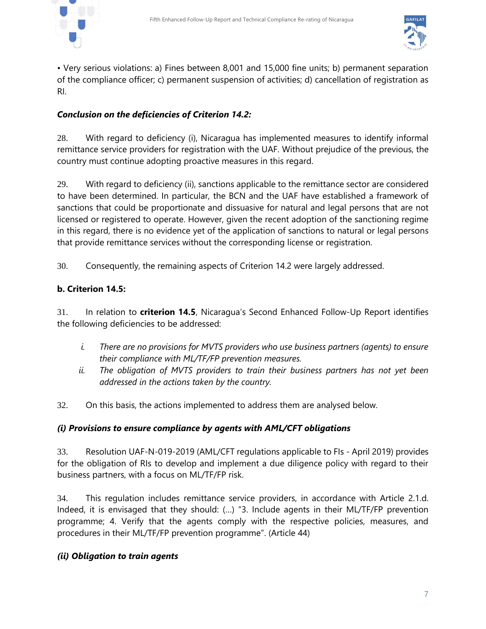



• Very serious violations: a) Fines between 8,001 and 15,000 fine units; b) permanent separation of the compliance officer; c) permanent suspension of activities; d) cancellation of registration as RI.

#### *Conclusion on the deficiencies of Criterion 14.2:*

28. With regard to deficiency (i), Nicaragua has implemented measures to identify informal remittance service providers for registration with the UAF. Without prejudice of the previous, the country must continue adopting proactive measures in this regard.

29. With regard to deficiency (ii), sanctions applicable to the remittance sector are considered to have been determined. In particular, the BCN and the UAF have established a framework of sanctions that could be proportionate and dissuasive for natural and legal persons that are not licensed or registered to operate. However, given the recent adoption of the sanctioning regime in this regard, there is no evidence yet of the application of sanctions to natural or legal persons that provide remittance services without the corresponding license or registration.

30. Consequently, the remaining aspects of Criterion 14.2 were largely addressed.

#### **b. Criterion 14.5:**

31. In relation to **criterion 14.5**, Nicaragua's Second Enhanced Follow-Up Report identifies the following deficiencies to be addressed:

- *i. There are no provisions for MVTS providers who use business partners (agents) to ensure their compliance with ML/TF/FP prevention measures.*
- *ii. The obligation of MVTS providers to train their business partners has not yet been addressed in the actions taken by the country.*
- 32. On this basis, the actions implemented to address them are analysed below.

#### *(i) Provisions to ensure compliance by agents with AML/CFT obligations*

33. Resolution UAF-N-019-2019 (AML/CFT regulations applicable to FIs - April 2019) provides for the obligation of RIs to develop and implement a due diligence policy with regard to their business partners, with a focus on ML/TF/FP risk.

34. This regulation includes remittance service providers, in accordance with Article 2.1.d. Indeed, it is envisaged that they should: (…) "3. Include agents in their ML/TF/FP prevention programme; 4. Verify that the agents comply with the respective policies, measures, and procedures in their ML/TF/FP prevention programme". (Article 44)

#### *(ii) Obligation to train agents*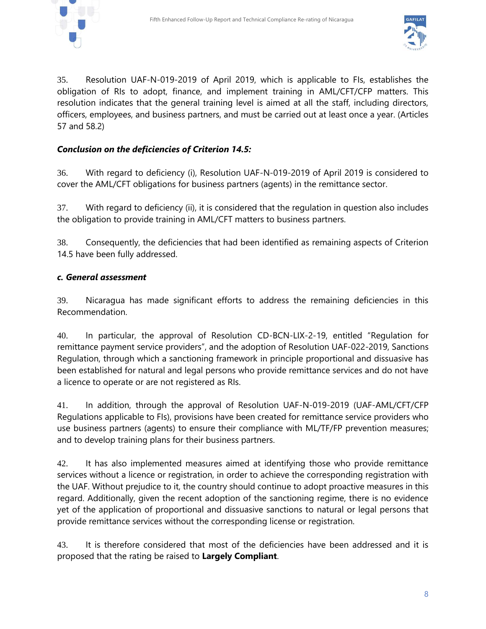



35. Resolution UAF-N-019-2019 of April 2019, which is applicable to FIs, establishes the obligation of RIs to adopt, finance, and implement training in AML/CFT/CFP matters. This resolution indicates that the general training level is aimed at all the staff, including directors, officers, employees, and business partners, and must be carried out at least once a year. (Articles 57 and 58.2)

### *Conclusion on the deficiencies of Criterion 14.5:*

36. With regard to deficiency (i), Resolution UAF-N-019-2019 of April 2019 is considered to cover the AML/CFT obligations for business partners (agents) in the remittance sector.

37. With regard to deficiency (ii), it is considered that the regulation in question also includes the obligation to provide training in AML/CFT matters to business partners.

38. Consequently, the deficiencies that had been identified as remaining aspects of Criterion 14.5 have been fully addressed.

#### *c. General assessment*

39. Nicaragua has made significant efforts to address the remaining deficiencies in this Recommendation.

40. In particular, the approval of Resolution CD-BCN-LIX-2-19, entitled "Regulation for remittance payment service providers", and the adoption of Resolution UAF-022-2019, Sanctions Regulation, through which a sanctioning framework in principle proportional and dissuasive has been established for natural and legal persons who provide remittance services and do not have a licence to operate or are not registered as RIs.

41. In addition, through the approval of Resolution UAF-N-019-2019 (UAF-AML/CFT/CFP Regulations applicable to FIs), provisions have been created for remittance service providers who use business partners (agents) to ensure their compliance with ML/TF/FP prevention measures; and to develop training plans for their business partners.

42. It has also implemented measures aimed at identifying those who provide remittance services without a licence or registration, in order to achieve the corresponding registration with the UAF. Without prejudice to it, the country should continue to adopt proactive measures in this regard. Additionally, given the recent adoption of the sanctioning regime, there is no evidence yet of the application of proportional and dissuasive sanctions to natural or legal persons that provide remittance services without the corresponding license or registration.

43. It is therefore considered that most of the deficiencies have been addressed and it is proposed that the rating be raised to **Largely Compliant**.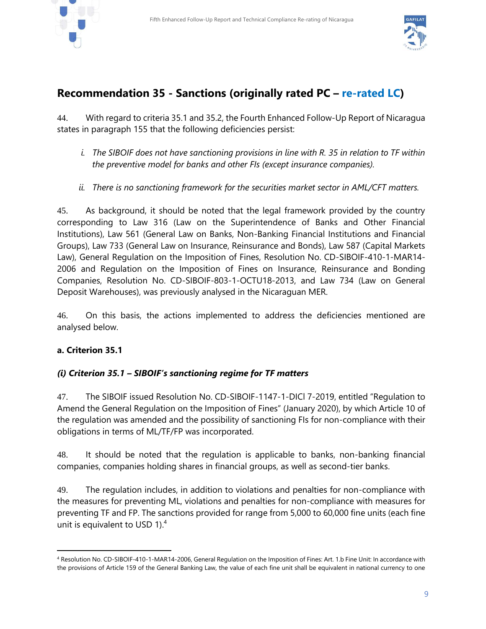



### **Recommendation 35 - Sanctions (originally rated PC – re-rated LC)**

44. With regard to criteria 35.1 and 35.2, the Fourth Enhanced Follow-Up Report of Nicaragua states in paragraph 155 that the following deficiencies persist:

- *i. The SIBOIF does not have sanctioning provisions in line with R. 35 in relation to TF within the preventive model for banks and other FIs (except insurance companies).*
- *ii. There is no sanctioning framework for the securities market sector in AML/CFT matters.*

45. As background, it should be noted that the legal framework provided by the country corresponding to Law 316 (Law on the Superintendence of Banks and Other Financial Institutions), Law 561 (General Law on Banks, Non-Banking Financial Institutions and Financial Groups), Law 733 (General Law on Insurance, Reinsurance and Bonds), Law 587 (Capital Markets Law), General Regulation on the Imposition of Fines, Resolution No. CD-SIBOIF-410-1-MAR14- 2006 and Regulation on the Imposition of Fines on Insurance, Reinsurance and Bonding Companies, Resolution No. CD-SIBOIF-803-1-OCTU18-2013, and Law 734 (Law on General Deposit Warehouses), was previously analysed in the Nicaraguan MER.

46. On this basis, the actions implemented to address the deficiencies mentioned are analysed below.

#### **a. Criterion 35.1**

l

#### *(i) Criterion 35.1 – SIBOIF's sanctioning regime for TF matters*

47. The SIBOIF issued Resolution No. CD-SIBOIF-1147-1-DICl 7-2019, entitled "Regulation to Amend the General Regulation on the Imposition of Fines" (January 2020), by which Article 10 of the regulation was amended and the possibility of sanctioning FIs for non-compliance with their obligations in terms of ML/TF/FP was incorporated.

48. It should be noted that the regulation is applicable to banks, non-banking financial companies, companies holding shares in financial groups, as well as second-tier banks.

49. The regulation includes, in addition to violations and penalties for non-compliance with the measures for preventing ML, violations and penalties for non-compliance with measures for preventing TF and FP. The sanctions provided for range from 5,000 to 60,000 fine units (each fine unit is equivalent to USD 1).<sup>4</sup>

<sup>4</sup> Resolution No. CD-SIBOIF-410-1-MAR14-2006, General Regulation on the Imposition of Fines: Art. 1.b Fine Unit: In accordance with the provisions of Article 159 of the General Banking Law, the value of each fine unit shall be equivalent in national currency to one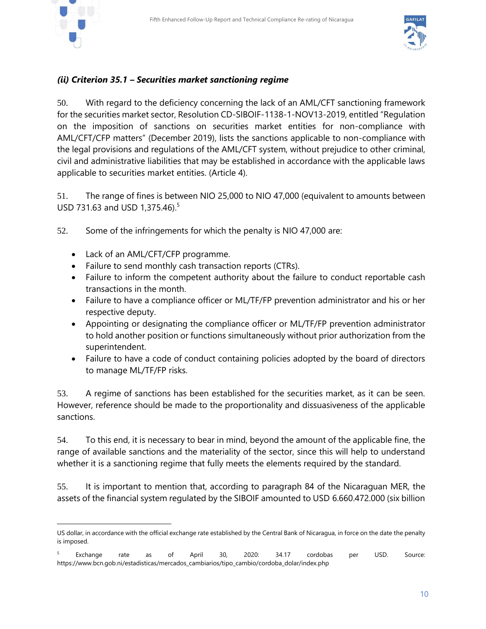

#### *(ii) Criterion 35.1 – Securities market sanctioning regime*

50. With regard to the deficiency concerning the lack of an AML/CFT sanctioning framework for the securities market sector, Resolution CD-SIBOIF-1138-1-NOV13-2019, entitled "Regulation on the imposition of sanctions on securities market entities for non-compliance with AML/CFT/CFP matters" (December 2019), lists the sanctions applicable to non-compliance with the legal provisions and regulations of the AML/CFT system, without prejudice to other criminal, civil and administrative liabilities that may be established in accordance with the applicable laws applicable to securities market entities. (Article 4).

51. The range of fines is between NIO 25,000 to NIO 47,000 (equivalent to amounts between USD 731.63 and USD 1,375.46).<sup>5</sup>

52. Some of the infringements for which the penalty is NIO 47,000 are:

- Lack of an AML/CFT/CFP programme.
- Failure to send monthly cash transaction reports (CTRs).
- Failure to inform the competent authority about the failure to conduct reportable cash transactions in the month.
- Failure to have a compliance officer or ML/TF/FP prevention administrator and his or her respective deputy.
- Appointing or designating the compliance officer or ML/TF/FP prevention administrator to hold another position or functions simultaneously without prior authorization from the superintendent.
- Failure to have a code of conduct containing policies adopted by the board of directors to manage ML/TF/FP risks.

53. A regime of sanctions has been established for the securities market, as it can be seen. However, reference should be made to the proportionality and dissuasiveness of the applicable sanctions.

54. To this end, it is necessary to bear in mind, beyond the amount of the applicable fine, the range of available sanctions and the materiality of the sector, since this will help to understand whether it is a sanctioning regime that fully meets the elements required by the standard.

55. It is important to mention that, according to paragraph 84 of the Nicaraguan MER, the assets of the financial system regulated by the SIBOIF amounted to USD 6.660.472.000 (six billion

US dollar, in accordance with the official exchange rate established by the Central Bank of Nicaragua, in force on the date the penalty is imposed.

<sup>&</sup>lt;sup>5</sup> Exchange rate as of April 30, 2020: 34.17 cordobas per USD. Source: [https://www.bcn.gob.ni/estadisticas/mercados\\_cambiarios/tipo\\_cambio/cordoba\\_dolar/index.php](https://www.bcn.gob.ni/estadisticas/mercados_cambiarios/tipo_cambio/cordoba_dolar/index.php)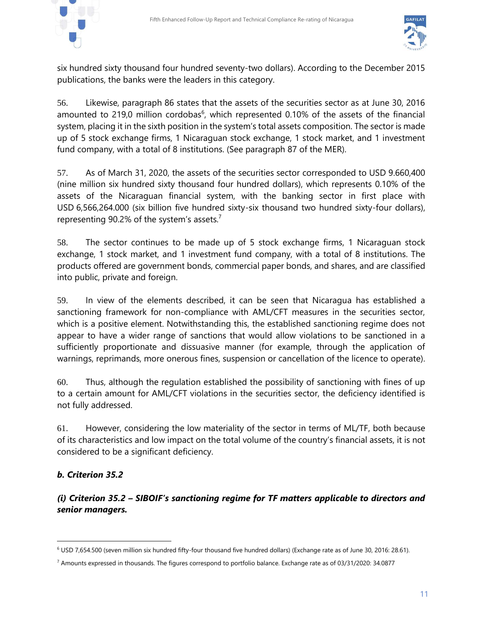



six hundred sixty thousand four hundred seventy-two dollars). According to the December 2015 publications, the banks were the leaders in this category.

56. Likewise, paragraph 86 states that the assets of the securities sector as at June 30, 2016 amounted to 219,0 million cordobas<sup>6</sup>, which represented 0.10% of the assets of the financial system, placing it in the sixth position in the system's total assets composition. The sector is made up of 5 stock exchange firms, 1 Nicaraguan stock exchange, 1 stock market, and 1 investment fund company, with a total of 8 institutions. (See paragraph 87 of the MER).

57. As of March 31, 2020, the assets of the securities sector corresponded to USD 9.660,400 (nine million six hundred sixty thousand four hundred dollars), which represents 0.10% of the assets of the Nicaraguan financial system, with the banking sector in first place with USD 6,566,264.000 (six billion five hundred sixty-six thousand two hundred sixty-four dollars), representing 90.2% of the system's assets.<sup>7</sup>

58. The sector continues to be made up of 5 stock exchange firms, 1 Nicaraguan stock exchange, 1 stock market, and 1 investment fund company, with a total of 8 institutions. The products offered are government bonds, commercial paper bonds, and shares, and are classified into public, private and foreign.

59. In view of the elements described, it can be seen that Nicaragua has established a sanctioning framework for non-compliance with AML/CFT measures in the securities sector, which is a positive element. Notwithstanding this, the established sanctioning regime does not appear to have a wider range of sanctions that would allow violations to be sanctioned in a sufficiently proportionate and dissuasive manner (for example, through the application of warnings, reprimands, more onerous fines, suspension or cancellation of the licence to operate).

60. Thus, although the regulation established the possibility of sanctioning with fines of up to a certain amount for AML/CFT violations in the securities sector, the deficiency identified is not fully addressed.

61. However, considering the low materiality of the sector in terms of ML/TF, both because of its characteristics and low impact on the total volume of the country's financial assets, it is not considered to be a significant deficiency.

#### *b. Criterion 35.2*

l

*(i) Criterion 35.2 – SIBOIF's sanctioning regime for TF matters applicable to directors and senior managers.*

<sup>6</sup> USD 7,654.500 (seven million six hundred fifty-four thousand five hundred dollars) (Exchange rate as of June 30, 2016: 28.61).

<sup>7</sup> Amounts expressed in thousands. The figures correspond to portfolio balance. Exchange rate as of 03/31/2020: 34.0877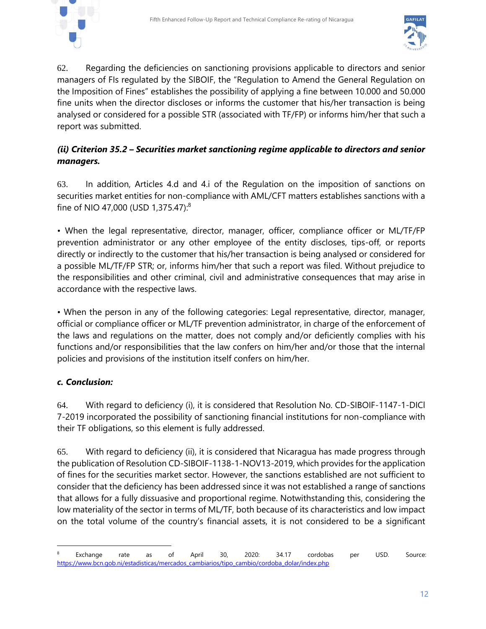



62. Regarding the deficiencies on sanctioning provisions applicable to directors and senior managers of FIs regulated by the SIBOIF, the "Regulation to Amend the General Regulation on the Imposition of Fines" establishes the possibility of applying a fine between 10.000 and 50.000 fine units when the director discloses or informs the customer that his/her transaction is being analysed or considered for a possible STR (associated with TF/FP) or informs him/her that such a report was submitted.

#### *(ii) Criterion 35.2 – Securities market sanctioning regime applicable to directors and senior managers.*

63. In addition, Articles 4.d and 4.i of the Regulation on the imposition of sanctions on securities market entities for non-compliance with AML/CFT matters establishes sanctions with a fine of NIO 47,000 (USD 1,375.47):<sup>8</sup>

• When the legal representative, director, manager, officer, compliance officer or ML/TF/FP prevention administrator or any other employee of the entity discloses, tips-off, or reports directly or indirectly to the customer that his/her transaction is being analysed or considered for a possible ML/TF/FP STR; or, informs him/her that such a report was filed. Without prejudice to the responsibilities and other criminal, civil and administrative consequences that may arise in accordance with the respective laws.

• When the person in any of the following categories: Legal representative, director, manager, official or compliance officer or ML/TF prevention administrator, in charge of the enforcement of the laws and regulations on the matter, does not comply and/or deficiently complies with his functions and/or responsibilities that the law confers on him/her and/or those that the internal policies and provisions of the institution itself confers on him/her.

#### *c. Conclusion:*

l

64. With regard to deficiency (i), it is considered that Resolution No. CD-SIBOIF-1147-1-DICl 7-2019 incorporated the possibility of sanctioning financial institutions for non-compliance with their TF obligations, so this element is fully addressed.

65. With regard to deficiency (ii), it is considered that Nicaragua has made progress through the publication of Resolution CD-SIBOIF-1138-1-NOV13-2019, which provides for the application of fines for the securities market sector. However, the sanctions established are not sufficient to consider that the deficiency has been addressed since it was not established a range of sanctions that allows for a fully dissuasive and proportional regime. Notwithstanding this, considering the low materiality of the sector in terms of ML/TF, both because of its characteristics and low impact on the total volume of the country's financial assets, it is not considered to be a significant

<sup>&</sup>lt;sup>8</sup> Exchange rate as of April 30, 2020: 34.17 cordobas per USD. Source: [https://www.bcn.gob.ni/estadisticas/mercados\\_cambiarios/tipo\\_cambio/cordoba\\_dolar/index.php](https://www.bcn.gob.ni/estadisticas/mercados_cambiarios/tipo_cambio/cordoba_dolar/index.php)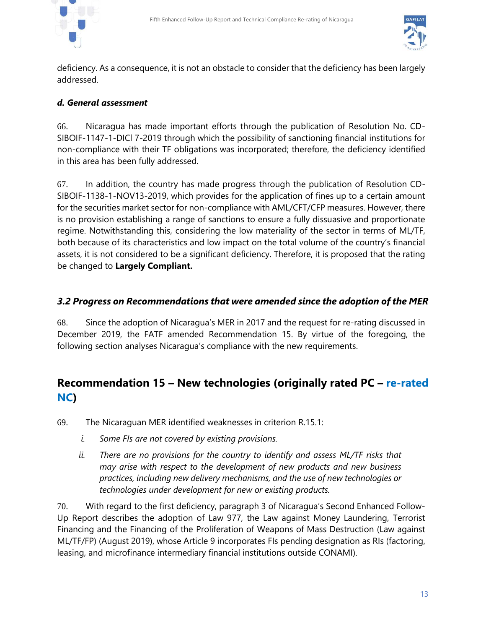



deficiency. As a consequence, it is not an obstacle to consider that the deficiency has been largely addressed.

#### *d. General assessment*

66. Nicaragua has made important efforts through the publication of Resolution No. CD-SIBOIF-1147-1-DICl 7-2019 through which the possibility of sanctioning financial institutions for non-compliance with their TF obligations was incorporated; therefore, the deficiency identified in this area has been fully addressed.

67. In addition, the country has made progress through the publication of Resolution CD-SIBOIF-1138-1-NOV13-2019, which provides for the application of fines up to a certain amount for the securities market sector for non-compliance with AML/CFT/CFP measures. However, there is no provision establishing a range of sanctions to ensure a fully dissuasive and proportionate regime. Notwithstanding this, considering the low materiality of the sector in terms of ML/TF, both because of its characteristics and low impact on the total volume of the country's financial assets, it is not considered to be a significant deficiency. Therefore, it is proposed that the rating be changed to **Largely Compliant.**

#### *3.2 Progress on Recommendations that were amended since the adoption of the MER*

68. Since the adoption of Nicaragua's MER in 2017 and the request for re-rating discussed in December 2019, the FATF amended Recommendation 15. By virtue of the foregoing, the following section analyses Nicaragua's compliance with the new requirements.

# **Recommendation 15 – New technologies (originally rated PC – re-rated NC)**

69. The Nicaraguan MER identified weaknesses in criterion R.15.1:

- *i. Some FIs are not covered by existing provisions.*
- *ii. There are no provisions for the country to identify and assess ML/TF risks that may arise with respect to the development of new products and new business practices, including new delivery mechanisms, and the use of new technologies or technologies under development for new or existing products.*

70. With regard to the first deficiency, paragraph 3 of Nicaragua's Second Enhanced Follow-Up Report describes the adoption of Law 977, the Law against Money Laundering, Terrorist Financing and the Financing of the Proliferation of Weapons of Mass Destruction (Law against ML/TF/FP) (August 2019), whose Article 9 incorporates FIs pending designation as RIs (factoring, leasing, and microfinance intermediary financial institutions outside CONAMI).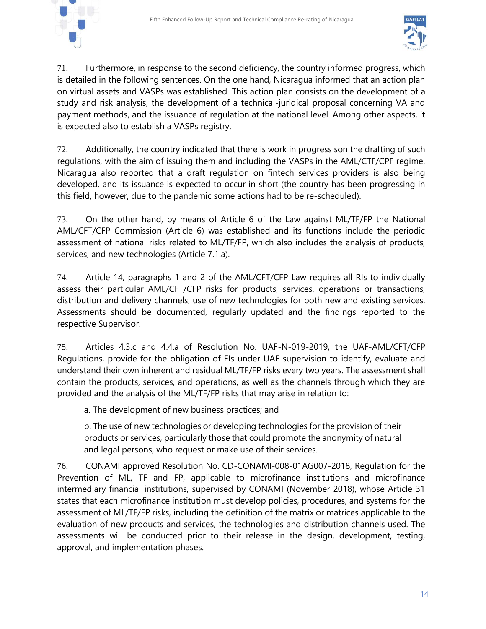



71. Furthermore, in response to the second deficiency, the country informed progress, which is detailed in the following sentences. On the one hand, Nicaragua informed that an action plan on virtual assets and VASPs was established. This action plan consists on the development of a study and risk analysis, the development of a technical-juridical proposal concerning VA and payment methods, and the issuance of regulation at the national level. Among other aspects, it is expected also to establish a VASPs registry.

72. Additionally, the country indicated that there is work in progress son the drafting of such regulations, with the aim of issuing them and including the VASPs in the AML/CTF/CPF regime. Nicaragua also reported that a draft regulation on fintech services providers is also being developed, and its issuance is expected to occur in short (the country has been progressing in this field, however, due to the pandemic some actions had to be re-scheduled).

73. On the other hand, by means of Article 6 of the Law against ML/TF/FP the National AML/CFT/CFP Commission (Article 6) was established and its functions include the periodic assessment of national risks related to ML/TF/FP, which also includes the analysis of products, services, and new technologies (Article 7.1.a).

74. Article 14, paragraphs 1 and 2 of the AML/CFT/CFP Law requires all RIs to individually assess their particular AML/CFT/CFP risks for products, services, operations or transactions, distribution and delivery channels, use of new technologies for both new and existing services. Assessments should be documented, regularly updated and the findings reported to the respective Supervisor.

75. Articles 4.3.c and 4.4.a of Resolution No. UAF-N-019-2019, the UAF-AML/CFT/CFP Regulations, provide for the obligation of FIs under UAF supervision to identify, evaluate and understand their own inherent and residual ML/TF/FP risks every two years. The assessment shall contain the products, services, and operations, as well as the channels through which they are provided and the analysis of the ML/TF/FP risks that may arise in relation to:

a. The development of new business practices; and

b. The use of new technologies or developing technologies for the provision of their products or services, particularly those that could promote the anonymity of natural and legal persons, who request or make use of their services.

76. CONAMI approved Resolution No. CD-CONAMI-008-01AG007-2018, Regulation for the Prevention of ML, TF and FP, applicable to microfinance institutions and microfinance intermediary financial institutions, supervised by CONAMI (November 2018), whose Article 31 states that each microfinance institution must develop policies, procedures, and systems for the assessment of ML/TF/FP risks, including the definition of the matrix or matrices applicable to the evaluation of new products and services, the technologies and distribution channels used. The assessments will be conducted prior to their release in the design, development, testing, approval, and implementation phases.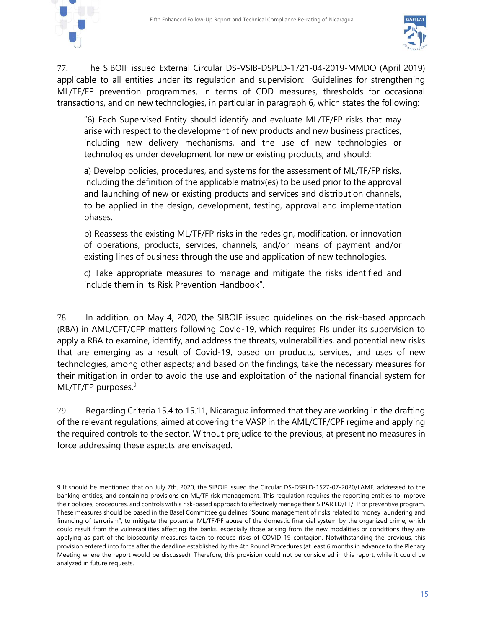

l



77. The SIBOIF issued External Circular DS-VSIB-DSPLD-1721-04-2019-MMDO (April 2019) applicable to all entities under its regulation and supervision: Guidelines for strengthening ML/TF/FP prevention programmes, in terms of CDD measures, thresholds for occasional transactions, and on new technologies, in particular in paragraph 6, which states the following:

"6) Each Supervised Entity should identify and evaluate ML/TF/FP risks that may arise with respect to the development of new products and new business practices, including new delivery mechanisms, and the use of new technologies or technologies under development for new or existing products; and should:

a) Develop policies, procedures, and systems for the assessment of ML/TF/FP risks, including the definition of the applicable matrix(es) to be used prior to the approval and launching of new or existing products and services and distribution channels, to be applied in the design, development, testing, approval and implementation phases.

b) Reassess the existing ML/TF/FP risks in the redesign, modification, or innovation of operations, products, services, channels, and/or means of payment and/or existing lines of business through the use and application of new technologies.

c) Take appropriate measures to manage and mitigate the risks identified and include them in its Risk Prevention Handbook".

78. In addition, on May 4, 2020, the SIBOIF issued guidelines on the risk-based approach (RBA) in AML/CFT/CFP matters following Covid-19, which requires FIs under its supervision to apply a RBA to examine, identify, and address the threats, vulnerabilities, and potential new risks that are emerging as a result of Covid-19, based on products, services, and uses of new technologies, among other aspects; and based on the findings, take the necessary measures for their mitigation in order to avoid the use and exploitation of the national financial system for ML/TF/FP purposes.<sup>9</sup>

79. Regarding Criteria 15.4 to 15.11, Nicaragua informed that they are working in the drafting of the relevant regulations, aimed at covering the VASP in the AML/CTF/CPF regime and applying the required controls to the sector. Without prejudice to the previous, at present no measures in force addressing these aspects are envisaged.

<sup>9</sup> It should be mentioned that on July 7th, 2020, the SIBOIF issued the Circular DS-DSPLD-1527-07-2020/LAME, addressed to the banking entities, and containing provisions on ML/TF risk management. This regulation requires the reporting entities to improve their policies, procedures, and controls with a risk-based approach to effectively manage their SIPAR LD/FT/FP or preventive program. These measures should be based in the Basel Committee guidelines "Sound management of risks related to money laundering and financing of terrorism", to mitigate the potential ML/TF/PF abuse of the domestic financial system by the organized crime, which could result from the vulnerabilities affecting the banks, especially those arising from the new modalities or conditions they are applying as part of the biosecurity measures taken to reduce risks of COVID-19 contagion. Notwithstanding the previous, this provision entered into force after the deadline established by the 4th Round Procedures (at least 6 months in advance to the Plenary Meeting where the report would be discussed). Therefore, this provision could not be considered in this report, while it could be analyzed in future requests.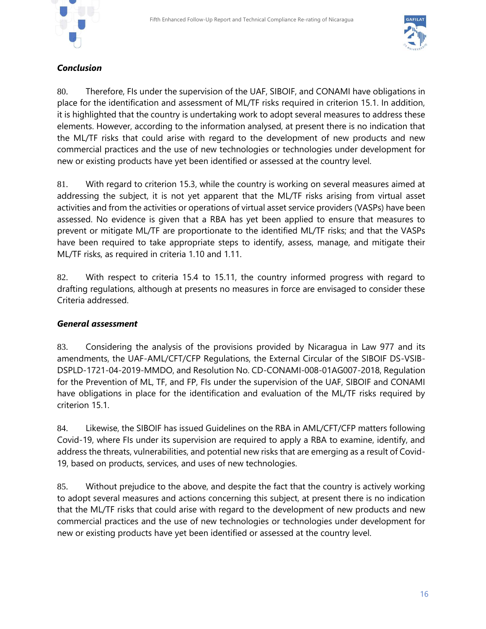



#### *Conclusion*

80. Therefore, FIs under the supervision of the UAF, SIBOIF, and CONAMI have obligations in place for the identification and assessment of ML/TF risks required in criterion 15.1. In addition, it is highlighted that the country is undertaking work to adopt several measures to address these elements. However, according to the information analysed, at present there is no indication that the ML/TF risks that could arise with regard to the development of new products and new commercial practices and the use of new technologies or technologies under development for new or existing products have yet been identified or assessed at the country level.

81. With regard to criterion 15.3, while the country is working on several measures aimed at addressing the subject, it is not yet apparent that the ML/TF risks arising from virtual asset activities and from the activities or operations of virtual asset service providers (VASPs) have been assessed. No evidence is given that a RBA has yet been applied to ensure that measures to prevent or mitigate ML/TF are proportionate to the identified ML/TF risks; and that the VASPs have been required to take appropriate steps to identify, assess, manage, and mitigate their ML/TF risks, as required in criteria 1.10 and 1.11.

82. With respect to criteria 15.4 to 15.11, the country informed progress with regard to drafting regulations, although at presents no measures in force are envisaged to consider these Criteria addressed.

#### *General assessment*

83. Considering the analysis of the provisions provided by Nicaragua in Law 977 and its amendments, the UAF-AML/CFT/CFP Regulations, the External Circular of the SIBOIF DS-VSIB-DSPLD-1721-04-2019-MMDO, and Resolution No. CD-CONAMI-008-01AG007-2018, Regulation for the Prevention of ML, TF, and FP, FIs under the supervision of the UAF, SIBOIF and CONAMI have obligations in place for the identification and evaluation of the ML/TF risks required by criterion 15.1.

84. Likewise, the SIBOIF has issued Guidelines on the RBA in AML/CFT/CFP matters following Covid-19, where FIs under its supervision are required to apply a RBA to examine, identify, and address the threats, vulnerabilities, and potential new risks that are emerging as a result of Covid-19, based on products, services, and uses of new technologies.

85. Without prejudice to the above, and despite the fact that the country is actively working to adopt several measures and actions concerning this subject, at present there is no indication that the ML/TF risks that could arise with regard to the development of new products and new commercial practices and the use of new technologies or technologies under development for new or existing products have yet been identified or assessed at the country level.